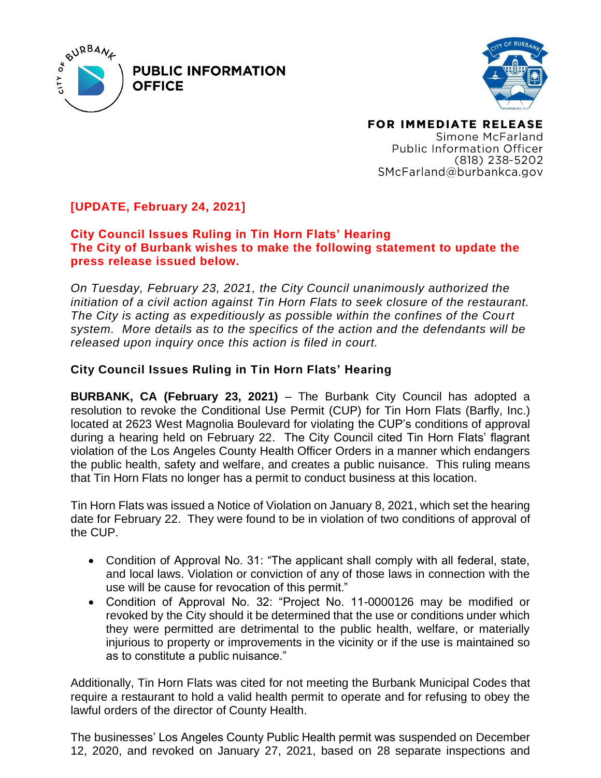

**PUBLIC INFORMATION OFFICE** 



FOR IMMEDIATE RELEASE Simone McFarland Public Information Officer  $(818)$  238-5202 SMcFarland@burbankca.gov

## **[UPDATE, February 24, 2021]**

## **City Council Issues Ruling in Tin Horn Flats' Hearing The City of Burbank wishes to make the following statement to update the press release issued below.**

*On Tuesday, February 23, 2021, the City Council unanimously authorized the initiation of a civil action against Tin Horn Flats to seek closure of the restaurant. The City is acting as expeditiously as possible within the confines of the Court system. More details as to the specifics of the action and the defendants will be released upon inquiry once this action is filed in court.* 

## **City Council Issues Ruling in Tin Horn Flats' Hearing**

**BURBANK, CA (February 23, 2021)** – The Burbank City Council has adopted a resolution to revoke the Conditional Use Permit (CUP) for Tin Horn Flats (Barfly, Inc.) located at 2623 West Magnolia Boulevard for violating the CUP's conditions of approval during a hearing held on February 22. The City Council cited Tin Horn Flats' flagrant violation of the Los Angeles County Health Officer Orders in a manner which endangers the public health, safety and welfare, and creates a public nuisance. This ruling means that Tin Horn Flats no longer has a permit to conduct business at this location.

Tin Horn Flats was issued a Notice of Violation on January 8, 2021, which set the hearing date for February 22. They were found to be in violation of two conditions of approval of the CUP.

- Condition of Approval No. 31: "The applicant shall comply with all federal, state, and local laws. Violation or conviction of any of those laws in connection with the use will be cause for revocation of this permit."
- Condition of Approval No. 32: "Project No. 11-0000126 may be modified or revoked by the City should it be determined that the use or conditions under which they were permitted are detrimental to the public health, welfare, or materially injurious to property or improvements in the vicinity or if the use is maintained so as to constitute a public nuisance."

Additionally, Tin Horn Flats was cited for not meeting the Burbank Municipal Codes that require a restaurant to hold a valid health permit to operate and for refusing to obey the lawful orders of the director of County Health.

The businesses' Los Angeles County Public Health permit was suspended on December 12, 2020, and revoked on January 27, 2021, based on 28 separate inspections and